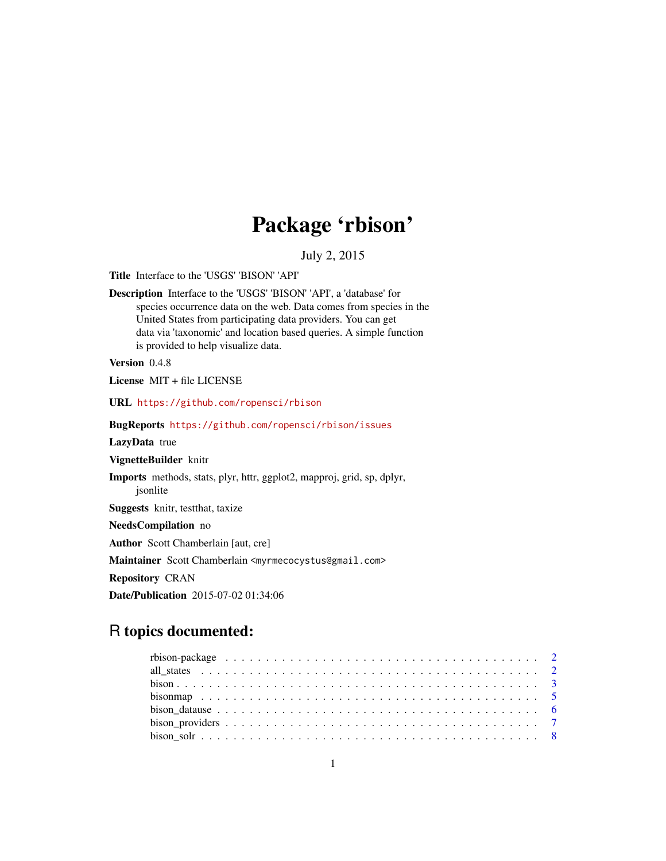# Package 'rbison'

#### July 2, 2015

Title Interface to the 'USGS' 'BISON' 'API'

Description Interface to the 'USGS' 'BISON' 'API', a 'database' for species occurrence data on the web. Data comes from species in the United States from participating data providers. You can get data via 'taxonomic' and location based queries. A simple function is provided to help visualize data.

Version 0.4.8

License MIT + file LICENSE

URL <https://github.com/ropensci/rbison>

BugReports <https://github.com/ropensci/rbison/issues>

LazyData true

VignetteBuilder knitr

Imports methods, stats, plyr, httr, ggplot2, mapproj, grid, sp, dplyr, jsonlite

Suggests knitr, testthat, taxize

NeedsCompilation no

Author Scott Chamberlain [aut, cre]

Maintainer Scott Chamberlain <myrmecocystus@gmail.com>

Repository CRAN

Date/Publication 2015-07-02 01:34:06

# R topics documented:

| bison solves that $\frac{1}{2}$ is the set of $\frac{1}{2}$ is the set of $\frac{1}{2}$ is the set of $\frac{1}{2}$ is the set of $\frac{1}{2}$ is the set of $\frac{1}{2}$ is the set of $\frac{1}{2}$ is the set of $\frac{1}{2}$ is the set of $\frac{1}{2}$ i |  |
|-------------------------------------------------------------------------------------------------------------------------------------------------------------------------------------------------------------------------------------------------------------------|--|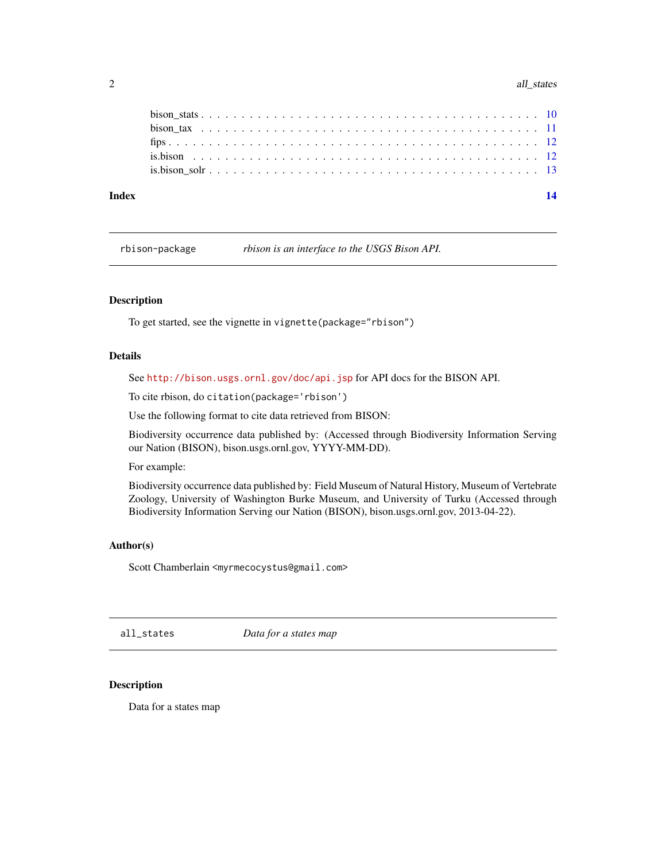<span id="page-1-0"></span>

| Index |  |
|-------|--|
|       |  |
|       |  |
|       |  |
|       |  |
|       |  |

rbison-package *rbison is an interface to the USGS Bison API.*

#### Description

To get started, see the vignette in vignette(package="rbison")

#### Details

See <http://bison.usgs.ornl.gov/doc/api.jsp> for API docs for the BISON API.

To cite rbison, do citation(package='rbison')

Use the following format to cite data retrieved from BISON:

Biodiversity occurrence data published by: (Accessed through Biodiversity Information Serving our Nation (BISON), bison.usgs.ornl.gov, YYYY-MM-DD).

For example:

Biodiversity occurrence data published by: Field Museum of Natural History, Museum of Vertebrate Zoology, University of Washington Burke Museum, and University of Turku (Accessed through Biodiversity Information Serving our Nation (BISON), bison.usgs.ornl.gov, 2013-04-22).

#### Author(s)

Scott Chamberlain <myrmecocystus@gmail.com>

all\_states *Data for a states map*

#### Description

Data for a states map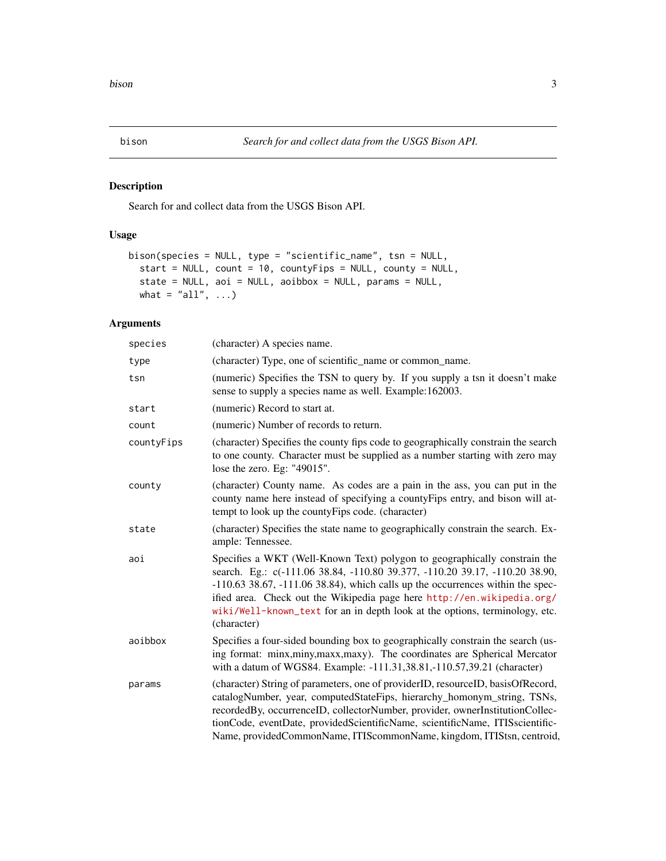<span id="page-2-1"></span><span id="page-2-0"></span>

Search for and collect data from the USGS Bison API.

#### Usage

```
bison(species = NULL, type = "scientific_name", tsn = NULL,
 start = NULL, count = 10, countyFips = NULL, county = NULL,
  state = NULL, aoi = NULL, aoibbox = NULL, params = NULL,
 what = "all", ...)
```
### Arguments

| species    | (character) A species name.                                                                                                                                                                                                                                                                                                                                                                                            |
|------------|------------------------------------------------------------------------------------------------------------------------------------------------------------------------------------------------------------------------------------------------------------------------------------------------------------------------------------------------------------------------------------------------------------------------|
| type       | (character) Type, one of scientific_name or common_name.                                                                                                                                                                                                                                                                                                                                                               |
| tsn        | (numeric) Specifies the TSN to query by. If you supply a tsn it doesn't make<br>sense to supply a species name as well. Example:162003.                                                                                                                                                                                                                                                                                |
| start      | (numeric) Record to start at.                                                                                                                                                                                                                                                                                                                                                                                          |
| count      | (numeric) Number of records to return.                                                                                                                                                                                                                                                                                                                                                                                 |
| countyFips | (character) Specifies the county fips code to geographically constrain the search<br>to one county. Character must be supplied as a number starting with zero may<br>lose the zero. Eg: "49015".                                                                                                                                                                                                                       |
| county     | (character) County name. As codes are a pain in the ass, you can put in the<br>county name here instead of specifying a countyFips entry, and bison will at-<br>tempt to look up the countyFips code. (character)                                                                                                                                                                                                      |
| state      | (character) Specifies the state name to geographically constrain the search. Ex-<br>ample: Tennessee.                                                                                                                                                                                                                                                                                                                  |
| aoi        | Specifies a WKT (Well-Known Text) polygon to geographically constrain the<br>search. Eg.: c(-111.06 38.84, -110.80 39.377, -110.20 39.17, -110.20 38.90,<br>$-110.63$ 38.67, $-111.06$ 38.84), which calls up the occurrences within the spec-<br>ified area. Check out the Wikipedia page here http://en.wikipedia.org/<br>wiki/Well-known_text for an in depth look at the options, terminology, etc.<br>(character) |
| aoibbox    | Specifies a four-sided bounding box to geographically constrain the search (us-<br>ing format: minx, miny, maxx, maxy). The coordinates are Spherical Mercator<br>with a datum of WGS84. Example: -111.31,38.81,-110.57,39.21 (character)                                                                                                                                                                              |
| params     | (character) String of parameters, one of providerID, resourceID, basisOfRecord,<br>catalogNumber, year, computedStateFips, hierarchy_homonym_string, TSNs,<br>recordedBy, occurrenceID, collectorNumber, provider, ownerInstitutionCollec-<br>tionCode, eventDate, providedScientificName, scientificName, ITISscientific-<br>Name, providedCommonName, ITIScommonName, kingdom, ITIStsn, centroid,                    |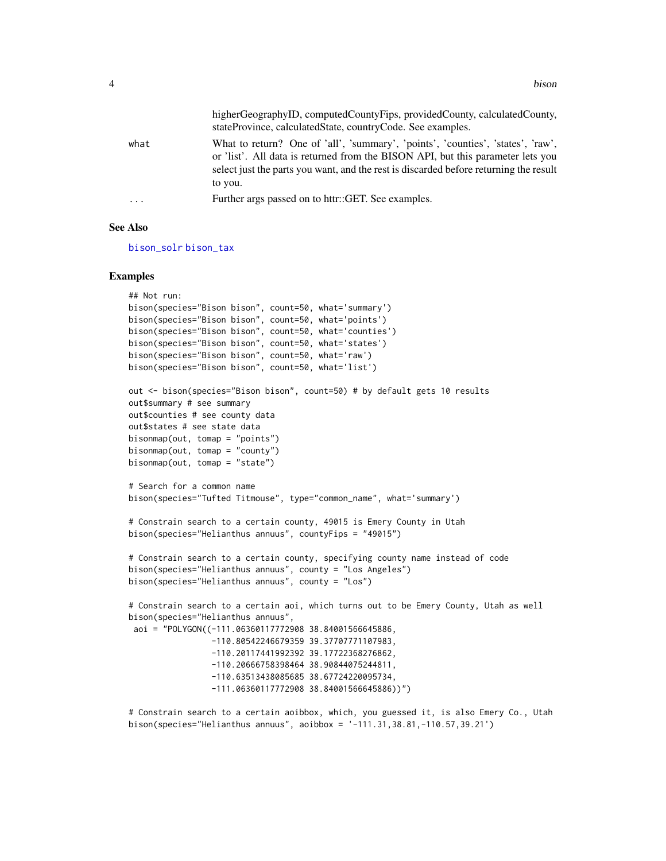<span id="page-3-0"></span>

|          | higherGeographyID, computedCountyFips, providedCounty, calculatedCounty,<br>stateProvince, calculatedState, countryCode. See examples.                                                                                                                                 |
|----------|------------------------------------------------------------------------------------------------------------------------------------------------------------------------------------------------------------------------------------------------------------------------|
| what     | What to return? One of 'all', 'summary', 'points', 'counties', 'states', 'raw',<br>or 'list'. All data is returned from the BISON API, but this parameter lets you<br>select just the parts you want, and the rest is discarded before returning the result<br>to you. |
| $\cdots$ | Further args passed on to httr::GET. See examples.                                                                                                                                                                                                                     |

#### See Also

[bison\\_solr](#page-7-1) [bison\\_tax](#page-10-1)

#### Examples

```
## Not run:
bison(species="Bison bison", count=50, what='summary')
bison(species="Bison bison", count=50, what='points')
bison(species="Bison bison", count=50, what='counties')
bison(species="Bison bison", count=50, what='states')
bison(species="Bison bison", count=50, what='raw')
bison(species="Bison bison", count=50, what='list')
out <- bison(species="Bison bison", count=50) # by default gets 10 results
out$summary # see summary
out$counties # see county data
out$states # see state data
bisonmap(out, tomap = "points")
bisonmap(out, tomap = "county")
bisonmap(out, tomap = "state")
# Search for a common name
bison(species="Tufted Titmouse", type="common_name", what='summary')
# Constrain search to a certain county, 49015 is Emery County in Utah
bison(species="Helianthus annuus", countyFips = "49015")
# Constrain search to a certain county, specifying county name instead of code
bison(species="Helianthus annuus", county = "Los Angeles")
bison(species="Helianthus annuus", county = "Los")
# Constrain search to a certain aoi, which turns out to be Emery County, Utah as well
bison(species="Helianthus annuus",
 aoi = "POLYGON((-111.06360117772908 38.84001566645886,
                 -110.80542246679359 39.37707771107983,
                 -110.20117441992392 39.17722368276862,
                 -110.20666758398464 38.90844075244811,
                 -110.63513438085685 38.67724220095734,
                 -111.06360117772908 38.84001566645886))")
```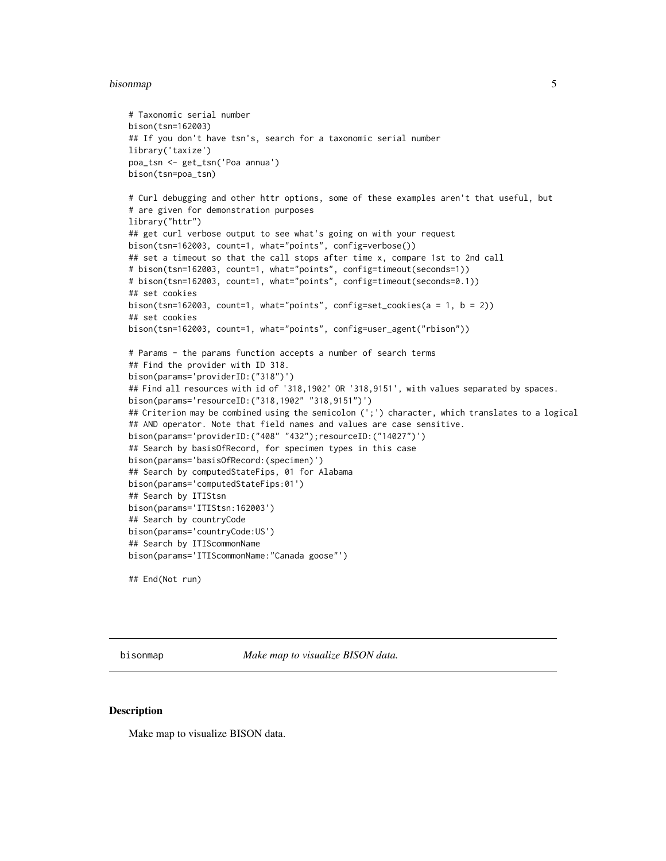#### <span id="page-4-0"></span>bisonmap 50 to 50 million to 10 million to 10 million to 10 million to 10 million to 10 million to 10 million

```
# Taxonomic serial number
bison(tsn=162003)
## If you don't have tsn's, search for a taxonomic serial number
library('taxize')
poa_tsn <- get_tsn('Poa annua')
bison(tsn=poa_tsn)
# Curl debugging and other httr options, some of these examples aren't that useful, but
# are given for demonstration purposes
library("httr")
## get curl verbose output to see what's going on with your request
bison(tsn=162003, count=1, what="points", config=verbose())
## set a timeout so that the call stops after time x, compare 1st to 2nd call
# bison(tsn=162003, count=1, what="points", config=timeout(seconds=1))
# bison(tsn=162003, count=1, what="points", config=timeout(seconds=0.1))
## set cookies
bison(tsn=162003, count=1, what="points", config=set_cookies(a = 1, b = 2))
## set cookies
bison(tsn=162003, count=1, what="points", config=user_agent("rbison"))
# Params - the params function accepts a number of search terms
## Find the provider with ID 318.
bison(params='providerID:("318")')
## Find all resources with id of '318,1902' OR '318,9151', with values separated by spaces.
bison(params='resourceID:("318,1902" "318,9151")')
## Criterion may be combined using the semicolon (';') character, which translates to a logical
## AND operator. Note that field names and values are case sensitive.
bison(params='providerID:("408" "432");resourceID:("14027")')
## Search by basisOfRecord, for specimen types in this case
bison(params='basisOfRecord:(specimen)')
## Search by computedStateFips, 01 for Alabama
bison(params='computedStateFips:01')
## Search by ITIStsn
bison(params='ITIStsn:162003')
## Search by countryCode
bison(params='countryCode:US')
## Search by ITIScommonName
bison(params='ITIScommonName:"Canada goose"')
```

```
## End(Not run)
```
bisonmap *Make map to visualize BISON data.*

#### Description

Make map to visualize BISON data.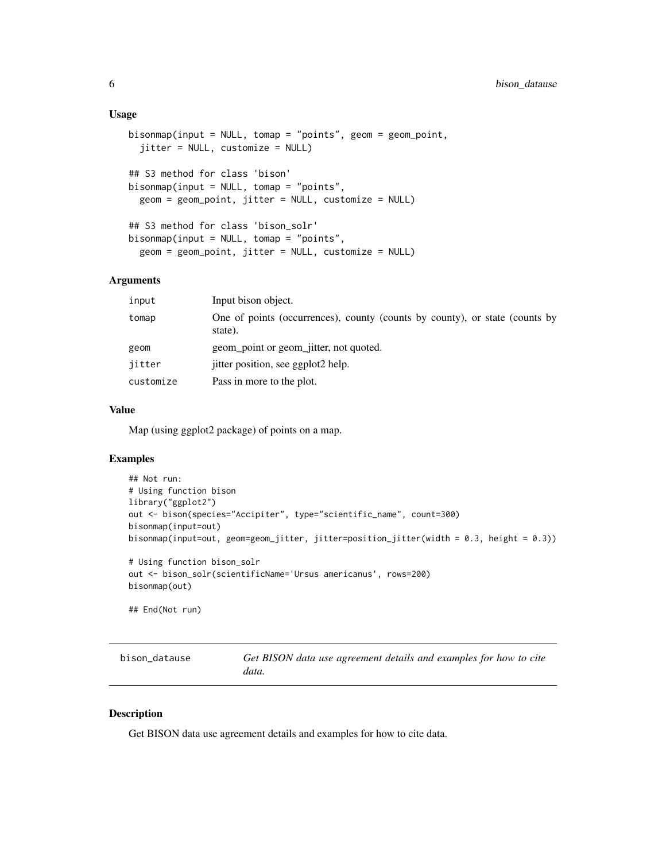#### <span id="page-5-0"></span>Usage

```
bisonmap(input = NULL, tomap = "points", geom = geom_point,
  jitter = NULL, customize = NULL)
## S3 method for class 'bison'
bisonmap(input = NULL, tomap = "points",
  geom = geom_point, jitter = NULL, customize = NULL)
## S3 method for class 'bison_solr'
bisonmap(input = NULL, tomap = "points",
  geom = geom_point, jitter = NULL, customize = NULL)
```
#### Arguments

| input     | Input bison object.                                                                    |
|-----------|----------------------------------------------------------------------------------------|
| tomap     | One of points (occurrences), county (counts by county), or state (counts by<br>state). |
| geom      | geom_point or geom_jitter, not quoted.                                                 |
| iitter    | jitter position, see ggplot2 help.                                                     |
| customize | Pass in more to the plot.                                                              |
|           |                                                                                        |

#### Value

Map (using ggplot2 package) of points on a map.

#### Examples

```
## Not run:
# Using function bison
library("ggplot2")
out <- bison(species="Accipiter", type="scientific_name", count=300)
bisonmap(input=out)
bisonmap(input=out, geom=geom_jitter, jitter=position_jitter(width = 0.3, height = 0.3))
# Using function bison_solr
out <- bison_solr(scientificName='Ursus americanus', rows=200)
bisonmap(out)
## End(Not run)
```
bison\_datause *Get BISON data use agreement details and examples for how to cite data.*

#### Description

Get BISON data use agreement details and examples for how to cite data.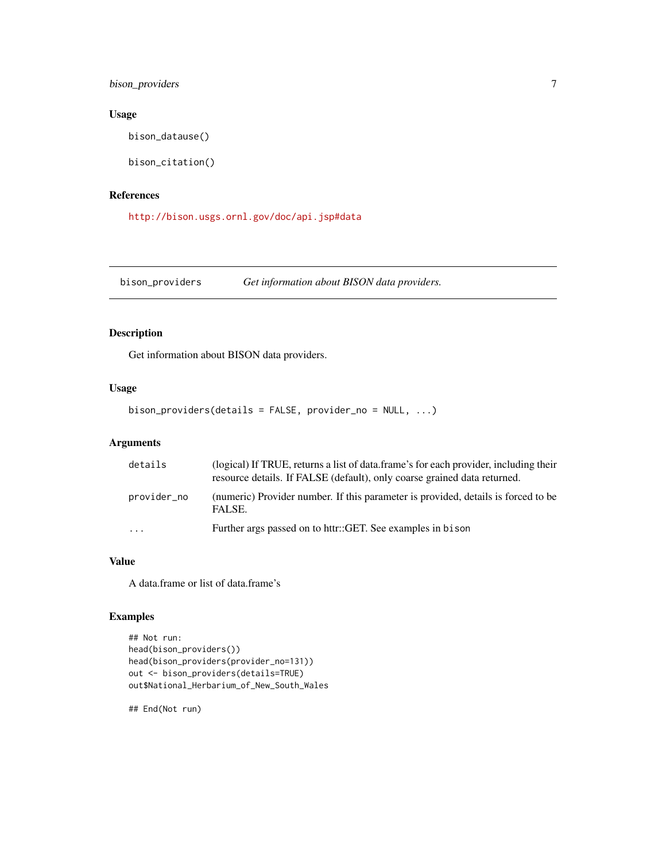<span id="page-6-0"></span>bison\_providers 7

#### Usage

bison\_datause()

bison\_citation()

#### References

<http://bison.usgs.ornl.gov/doc/api.jsp#data>

bison\_providers *Get information about BISON data providers.*

#### Description

Get information about BISON data providers.

#### Usage

bison\_providers(details = FALSE, provider\_no = NULL, ...)

#### Arguments

| details                 | (logical) If TRUE, returns a list of data.frame's for each provider, including their<br>resource details. If FALSE (default), only coarse grained data returned. |
|-------------------------|------------------------------------------------------------------------------------------------------------------------------------------------------------------|
| provider_no             | (numeric) Provider number. If this parameter is provided, details is forced to be<br>FALSE.                                                                      |
| $\cdot$ $\cdot$ $\cdot$ | Further args passed on to httr::GET. See examples in bison                                                                                                       |

#### Value

A data.frame or list of data.frame's

#### Examples

```
## Not run:
head(bison_providers())
head(bison_providers(provider_no=131))
out <- bison_providers(details=TRUE)
out$National_Herbarium_of_New_South_Wales
```
## End(Not run)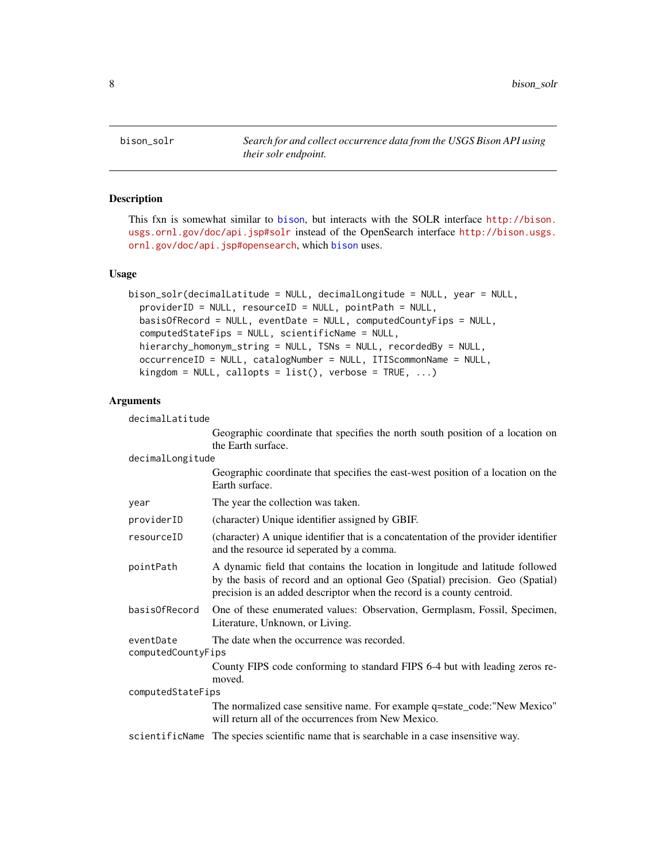<span id="page-7-1"></span><span id="page-7-0"></span>

This fxn is somewhat similar to [bison](#page-2-1), but interacts with the SOLR interface [http://bison.](http://bison.usgs.ornl.gov/doc/api.jsp#solr) [usgs.ornl.gov/doc/api.jsp#solr](http://bison.usgs.ornl.gov/doc/api.jsp#solr) instead of the OpenSearch interface [http://bison.usgs.](http://bison.usgs.ornl.gov/doc/api.jsp#opensearch) [ornl.gov/doc/api.jsp#opensearch](http://bison.usgs.ornl.gov/doc/api.jsp#opensearch), which [bison](#page-2-1) uses.

#### Usage

```
bison_solr(decimalLatitude = NULL, decimalLongitude = NULL, year = NULL,
  providerID = NULL, resourceID = NULL, pointPath = NULL,
  basisOfRecord = NULL, eventDate = NULL, computedCountyFips = NULL,
  computedStateFips = NULL, scientificName = NULL,
  hierarchy_homonym_string = NULL, TSNs = NULL, recordedBy = NULL,
  occurrenceID = NULL, catalogNumber = NULL, ITIScommonName = NULL,
  kingdom = NULL, callopts = list(), verbose = TRUE, ...)
```
#### Arguments

decimalLatitude

Geographic coordinate that specifies the north south position of a location on the Earth surface.

#### decimalLongitude

|                                 | Geographic coordinate that specifies the east-west position of a location on the<br>Earth surface.                                                                                                                                       |
|---------------------------------|------------------------------------------------------------------------------------------------------------------------------------------------------------------------------------------------------------------------------------------|
| year                            | The year the collection was taken.                                                                                                                                                                                                       |
| providerID                      | (character) Unique identifier assigned by GBIF.                                                                                                                                                                                          |
| resourceID                      | (character) A unique identifier that is a concatentation of the provider identifier<br>and the resource id seperated by a comma.                                                                                                         |
| pointPath                       | A dynamic field that contains the location in longitude and latitude followed<br>by the basis of record and an optional Geo (Spatial) precision. Geo (Spatial)<br>precision is an added descriptor when the record is a county centroid. |
| basisOfRecord                   | One of these enumerated values: Observation, Germplasm, Fossil, Specimen,<br>Literature, Unknown, or Living.                                                                                                                             |
| eventDate<br>computedCountyFips | The date when the occurrence was recorded.                                                                                                                                                                                               |
|                                 | County FIPS code conforming to standard FIPS 6-4 but with leading zeros re-<br>moved.                                                                                                                                                    |
| computedStateFips               |                                                                                                                                                                                                                                          |
|                                 | The normalized case sensitive name. For example q=state_code:"New Mexico"<br>will return all of the occurrences from New Mexico.                                                                                                         |
|                                 | scientificName The species scientific name that is searchable in a case insensitive way.                                                                                                                                                 |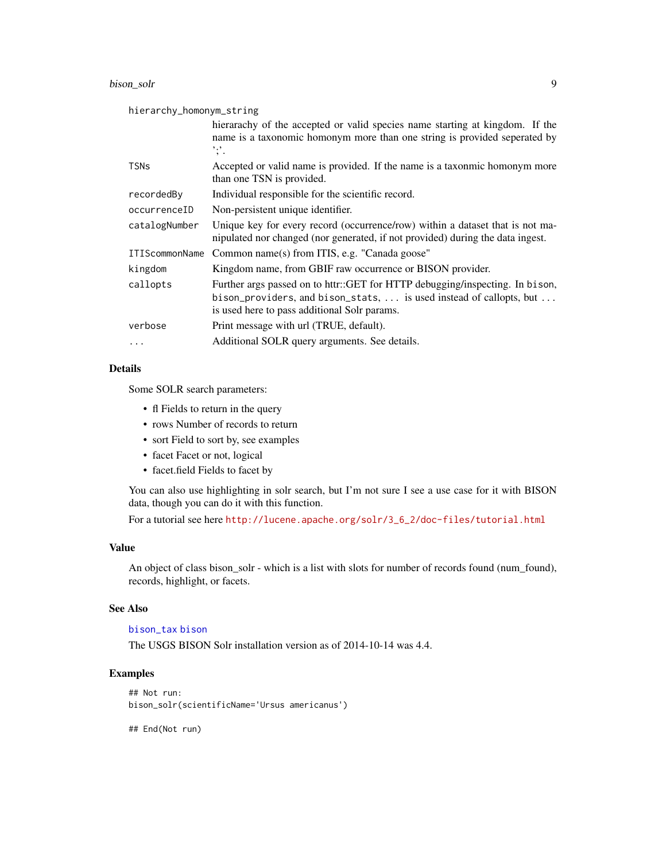#### <span id="page-8-0"></span>bison\_solr 9

| hierarchy_homonym_string |                                                                                                                                                                                                     |  |
|--------------------------|-----------------------------------------------------------------------------------------------------------------------------------------------------------------------------------------------------|--|
|                          | hierarachy of the accepted or valid species name starting at kingdom. If the<br>name is a taxonomic homonym more than one string is provided seperated by<br>$\cdot$ , $\cdot$                      |  |
| <b>TSNs</b>              | Accepted or valid name is provided. If the name is a taxonmic homonym more<br>than one TSN is provided.                                                                                             |  |
| recordedBy               | Individual responsible for the scientific record.                                                                                                                                                   |  |
| occurrenceID             | Non-persistent unique identifier.                                                                                                                                                                   |  |
| catalogNumber            | Unique key for every record (occurrence/row) within a dataset that is not ma-<br>nipulated nor changed (nor generated, if not provided) during the data ingest.                                     |  |
| <b>ITIScommonName</b>    | Common name(s) from ITIS, e.g. "Canada goose"                                                                                                                                                       |  |
| kingdom                  | Kingdom name, from GBIF raw occurrence or BISON provider.                                                                                                                                           |  |
| callopts                 | Further args passed on to httr::GET for HTTP debugging/inspecting. In bison,<br>bison_providers, and bison_stats,  is used instead of callopts, but<br>is used here to pass additional Solr params. |  |
| verbose                  | Print message with url (TRUE, default).                                                                                                                                                             |  |
| $\cdots$                 | Additional SOLR query arguments. See details.                                                                                                                                                       |  |

#### Details

Some SOLR search parameters:

- fl Fields to return in the query
- rows Number of records to return
- sort Field to sort by, see examples
- facet Facet or not, logical
- facet.field Fields to facet by

You can also use highlighting in solr search, but I'm not sure I see a use case for it with BISON data, though you can do it with this function.

For a tutorial see here [http://lucene.apache.org/solr/3\\_6\\_2/doc-files/tutorial.html](http://lucene.apache.org/solr/3_6_2/doc-files/tutorial.html)

#### Value

An object of class bison\_solr - which is a list with slots for number of records found (num\_found), records, highlight, or facets.

#### See Also

[bison\\_tax](#page-10-1) [bison](#page-2-1)

The USGS BISON Solr installation version as of 2014-10-14 was 4.4.

#### Examples

```
## Not run:
bison_solr(scientificName='Ursus americanus')
```
## End(Not run)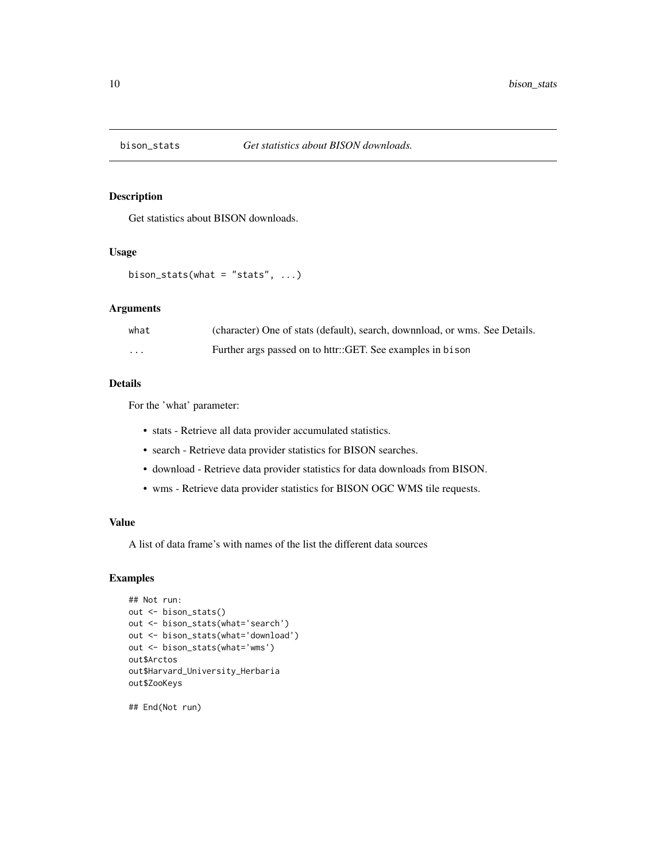<span id="page-9-0"></span>

Get statistics about BISON downloads.

#### Usage

```
bison_stats(what = "stats", \ldots)
```
#### Arguments

| what                    | (character) One of stats (default), search, downnload, or wms. See Details. |
|-------------------------|-----------------------------------------------------------------------------|
| $\cdot$ $\cdot$ $\cdot$ | Further args passed on to httr::GET. See examples in bison                  |

#### Details

For the 'what' parameter:

- stats Retrieve all data provider accumulated statistics.
- search Retrieve data provider statistics for BISON searches.
- download Retrieve data provider statistics for data downloads from BISON.
- wms Retrieve data provider statistics for BISON OGC WMS tile requests.

#### Value

A list of data frame's with names of the list the different data sources

#### Examples

```
## Not run:
out <- bison_stats()
out <- bison_stats(what='search')
out <- bison_stats(what='download')
out <- bison_stats(what='wms')
out$Arctos
out$Harvard_University_Herbaria
out$ZooKeys
```
## End(Not run)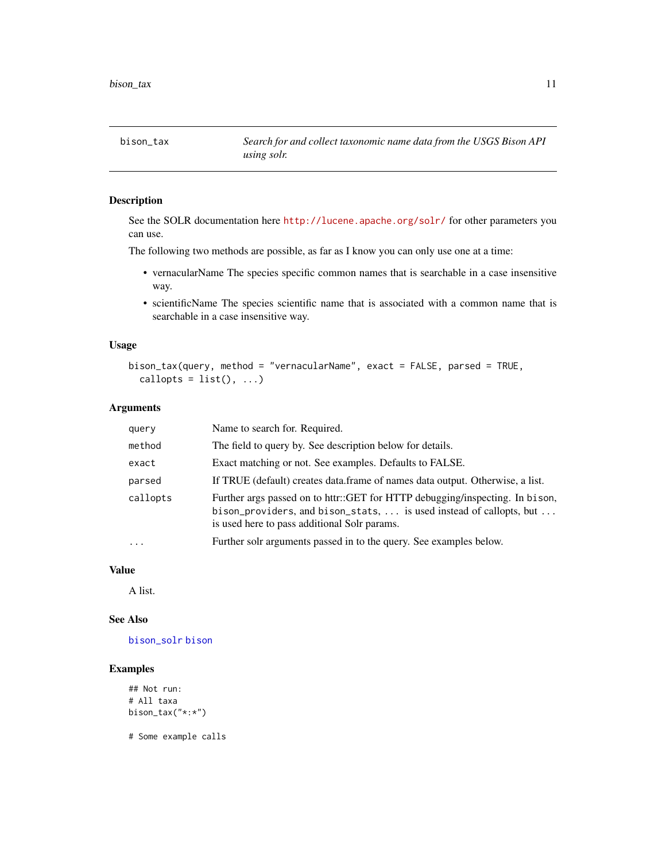<span id="page-10-1"></span><span id="page-10-0"></span>

See the SOLR documentation here <http://lucene.apache.org/solr/> for other parameters you can use.

The following two methods are possible, as far as I know you can only use one at a time:

- vernacularName The species specific common names that is searchable in a case insensitive way.
- scientificName The species scientific name that is associated with a common name that is searchable in a case insensitive way.

#### Usage

```
bison_tax(query, method = "vernacularName", exact = FALSE, parsed = TRUE,
  callopts = list(), ...)
```
#### Arguments

| query    | Name to search for. Required.                                                                                                                                                                       |
|----------|-----------------------------------------------------------------------------------------------------------------------------------------------------------------------------------------------------|
| method   | The field to query by. See description below for details.                                                                                                                                           |
| exact    | Exact matching or not. See examples. Defaults to FALSE.                                                                                                                                             |
| parsed   | If TRUE (default) creates data frame of names data output. Otherwise, a list.                                                                                                                       |
| callopts | Further args passed on to httr::GET for HTTP debugging/inspecting. In bison,<br>bison_providers, and bison_stats,  is used instead of callopts, but<br>is used here to pass additional Solr params. |
| $\cdots$ | Further solr arguments passed in to the query. See examples below.                                                                                                                                  |

#### Value

A list.

#### See Also

[bison\\_solr](#page-7-1) [bison](#page-2-1)

#### Examples

```
## Not run:
# All taxa
bison_tax("*:*")
```
# Some example calls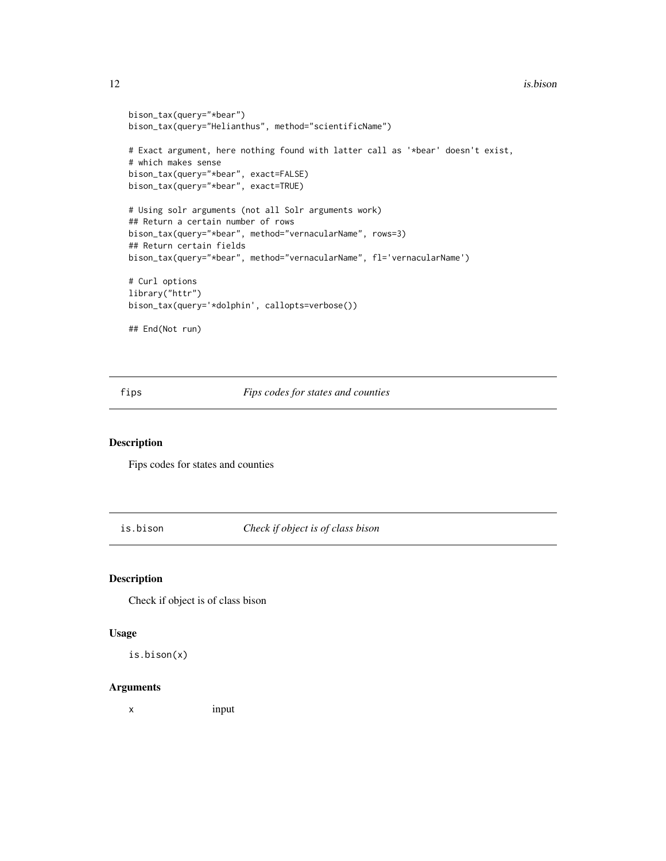```
bison_tax(query="*bear")
bison_tax(query="Helianthus", method="scientificName")
# Exact argument, here nothing found with latter call as '*bear' doesn't exist,
# which makes sense
bison_tax(query="*bear", exact=FALSE)
bison_tax(query="*bear", exact=TRUE)
# Using solr arguments (not all Solr arguments work)
## Return a certain number of rows
bison_tax(query="*bear", method="vernacularName", rows=3)
## Return certain fields
bison_tax(query="*bear", method="vernacularName", fl='vernacularName')
# Curl options
library("httr")
bison_tax(query='*dolphin', callopts=verbose())
## End(Not run)
```
fips *Fips codes for states and counties*

#### Description

Fips codes for states and counties

is.bison *Check if object is of class bison*

#### Description

Check if object is of class bison

#### Usage

is.bison(x)

#### Arguments

x input

<span id="page-11-0"></span>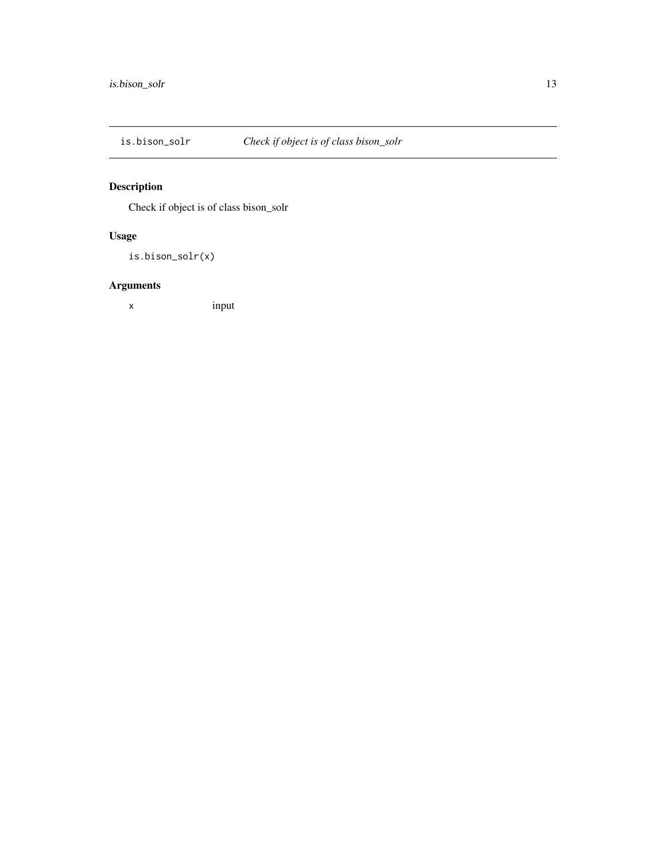<span id="page-12-0"></span>

Check if object is of class bison\_solr

#### Usage

is.bison\_solr(x)

# Arguments

x input